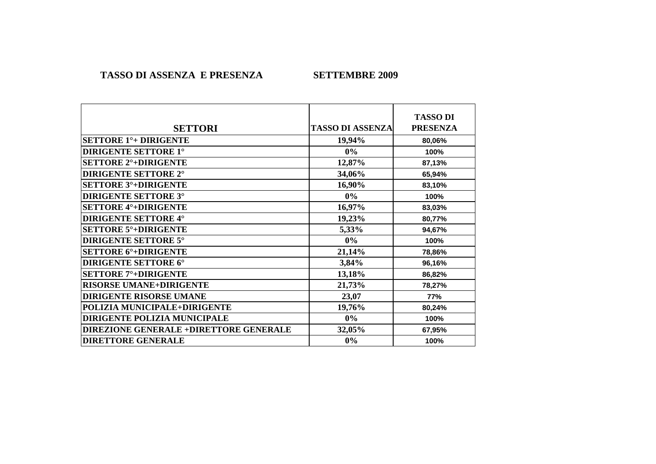**TASSO DI ASSENZA E PRESENZA** 

**SETTEMBRE 2009** 

|                                               |                         | <b>TASSO DI</b> |
|-----------------------------------------------|-------------------------|-----------------|
| <b>SETTORI</b>                                | <b>TASSO DI ASSENZA</b> | <b>PRESENZA</b> |
| <b>SETTORE 1<sup>°</sup>+ DIRIGENTE</b>       | 19,94%                  | 80,06%          |
| <b>DIRIGENTE SETTORE 1°</b>                   | $0\%$                   | 100%            |
| <b>SETTORE 2<sup>°</sup>+DIRIGENTE</b>        | 12,87%                  | 87,13%          |
| <b>DIRIGENTE SETTORE 2°</b>                   | 34,06%                  | 65,94%          |
| <b>SETTORE 3°+DIRIGENTE</b>                   | 16,90%                  | 83,10%          |
| <b>DIRIGENTE SETTORE 3°</b>                   | $0\%$                   | 100%            |
| <b>SETTORE 4°+DIRIGENTE</b>                   | 16,97%                  | 83,03%          |
| <b>DIRIGENTE SETTORE 4°</b>                   | 19,23%                  | 80,77%          |
| <b>SETTORE 5°+DIRIGENTE</b>                   | 5,33%                   | 94,67%          |
| <b>DIRIGENTE SETTORE 5°</b>                   | $0\%$                   | 100%            |
| <b>SETTORE 6°+DIRIGENTE</b>                   | 21,14%                  | 78,86%          |
| <b>DIRIGENTE SETTORE 6°</b>                   | 3,84%                   | 96,16%          |
| <b>SETTORE 7°+DIRIGENTE</b>                   | 13,18%                  | 86,82%          |
| <b>RISORSE UMANE+DIRIGENTE</b>                | 21,73%                  | 78,27%          |
| <b>DIRIGENTE RISORSE UMANE</b>                | 23,07                   | 77%             |
| POLIZIA MUNICIPALE+DIRIGENTE                  | 19,76%                  | 80,24%          |
| DIRIGENTE POLIZIA MUNICIPALE                  | $0\%$                   | 100%            |
| <b>DIREZIONE GENERALE +DIRETTORE GENERALE</b> | 32,05%                  | 67,95%          |
| <b>DIRETTORE GENERALE</b>                     | $0\%$                   | 100%            |